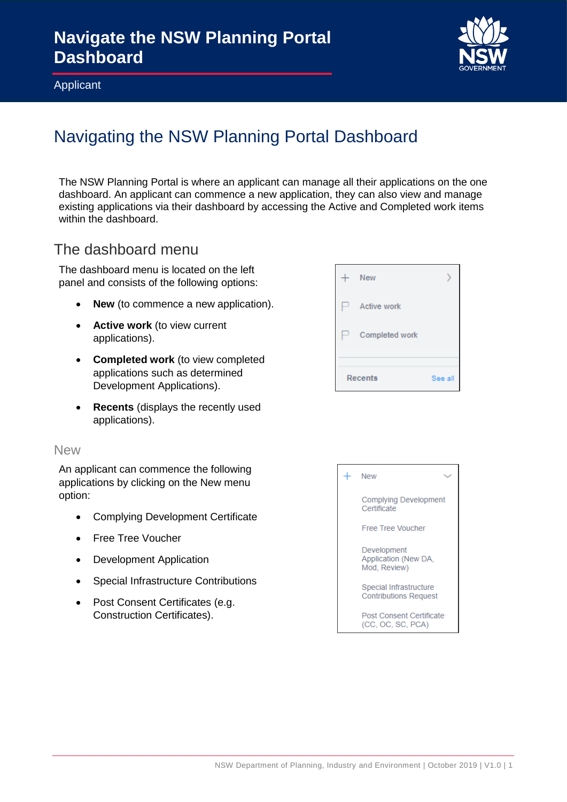

Applicant

# Navigating the NSW Planning Portal Dashboard

The NSW Planning Portal is where an applicant can manage all their applications on the one dashboard. An applicant can commence a new application, they can also view and manage existing applications via their dashboard by accessing the Active and Completed work items within the dashboard.

### The dashboard menu

The dashboard menu is located on the left panel and consists of the following options:

- **New** (to commence a new application).
- **Active work** (to view current applications).
- **Completed work** (to view completed applications such as determined Development Applications).
- **Recents** (displays the recently used applications).

#### New

An applicant can commence the following applications by clicking on the New menu option:

- Complying Development Certificate
- Free Tree Voucher
- Development Application
- Special Infrastructure Contributions
- Post Consent Certificates (e.g. Construction Certificates).



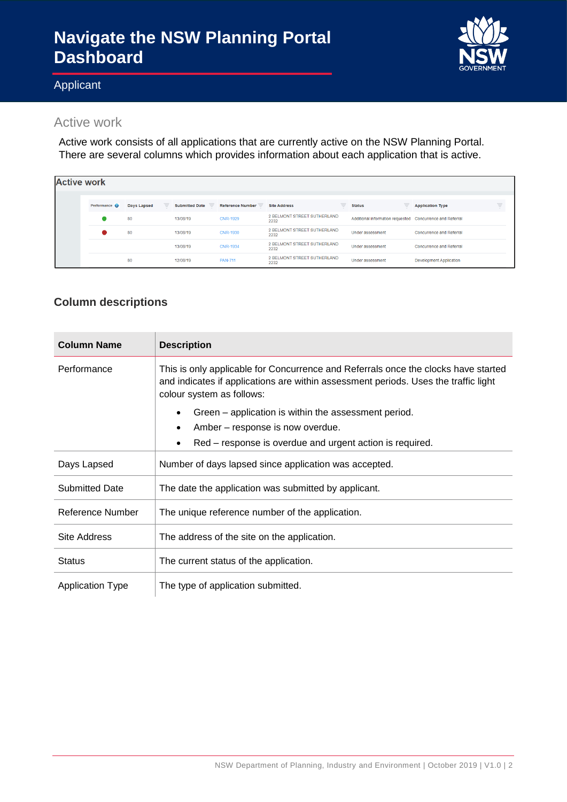# **Navigate the NSW Planning Portal Dashboard**



### Applicant

### Active work

Active work consists of all applications that are currently active on the NSW Planning Portal. There are several columns which provides information about each application that is active.

| <b>Active work</b> |                      |             |          |          |                                                  |                                     |   |                                                           |                                 |   |
|--------------------|----------------------|-------------|----------|----------|--------------------------------------------------|-------------------------------------|---|-----------------------------------------------------------|---------------------------------|---|
|                    |                      |             |          |          |                                                  |                                     |   |                                                           |                                 |   |
|                    | Performance <b>O</b> | Days Lapsed | $\equiv$ |          | Submitted Date = Reference Number = Site Address |                                     | ₹ | <b>Status</b>                                             | <b>Application Type</b>         | Ξ |
|                    |                      | 80          |          | 13/08/19 | <b>CNR-1929</b>                                  | 2 BELMONT STREET SUTHERLAND<br>2232 |   | Additional information requested Concurrence and Referral |                                 |   |
|                    |                      | 80          |          | 13/08/19 | CNR-1930                                         | 2 BELMONT STREET SUTHERLAND<br>2232 |   | <b>Under assessment</b>                                   | Concurrence and Referral        |   |
|                    |                      |             |          | 13/08/19 | <b>CNR-1934</b>                                  | 2 BELMONT STREET SUTHERLAND<br>2232 |   | <b>Under assessment</b>                                   | <b>Concurrence and Referral</b> |   |
|                    |                      | 80          |          | 12/08/19 | <b>PAN-711</b>                                   | 2 BELMONT STREET SUTHERLAND<br>2232 |   | <b>Under assessment</b>                                   | <b>Development Application</b>  |   |

### **Column descriptions**

| <b>Column Name</b>      | <b>Description</b>                                                                                                                                                                                     |
|-------------------------|--------------------------------------------------------------------------------------------------------------------------------------------------------------------------------------------------------|
| Performance             | This is only applicable for Concurrence and Referrals once the clocks have started<br>and indicates if applications are within assessment periods. Uses the traffic light<br>colour system as follows: |
|                         | Green – application is within the assessment period.                                                                                                                                                   |
|                         | Amber – response is now overdue.                                                                                                                                                                       |
|                         | Red – response is overdue and urgent action is required.<br>٠                                                                                                                                          |
| Days Lapsed             | Number of days lapsed since application was accepted.                                                                                                                                                  |
| <b>Submitted Date</b>   | The date the application was submitted by applicant.                                                                                                                                                   |
| Reference Number        | The unique reference number of the application.                                                                                                                                                        |
| <b>Site Address</b>     | The address of the site on the application.                                                                                                                                                            |
| <b>Status</b>           | The current status of the application.                                                                                                                                                                 |
| <b>Application Type</b> | The type of application submitted.                                                                                                                                                                     |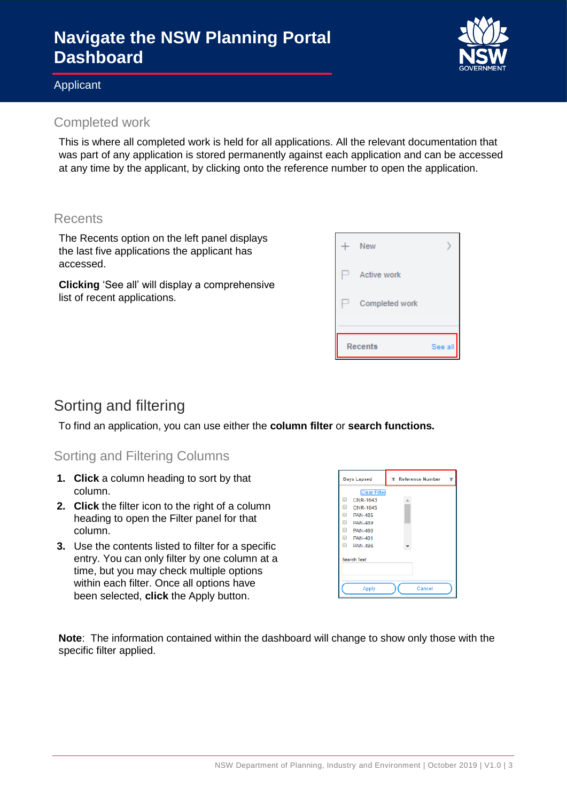# **Navigate the NSW Planning Portal Dashboard**

#### Applicant

### Completed work

This is where all completed work is held for all applications. All the relevant documentation that was part of any application is stored permanently against each application and can be accessed at any time by the applicant, by clicking onto the reference number to open the application.

#### **Recents**

The Recents option on the left panel displays the last five applications the applicant has accessed.

**Clicking** 'See all' will display a comprehensive list of recent applications.



## Sorting and filtering

To find an application, you can use either the **column filter** or **search functions.**

#### Sorting and Filtering Columns

- **1. Click** a column heading to sort by that column.
- **2. Click** the filter icon to the right of a column heading to open the Filter panel for that column.
- **3.** Use the contents listed to filter for a specific entry. You can only filter by one column at a time, but you may check multiple options within each filter. Once all options have been selected, **click** the Apply button.



**Note**: The information contained within the dashboard will change to show only those with the specific filter applied.